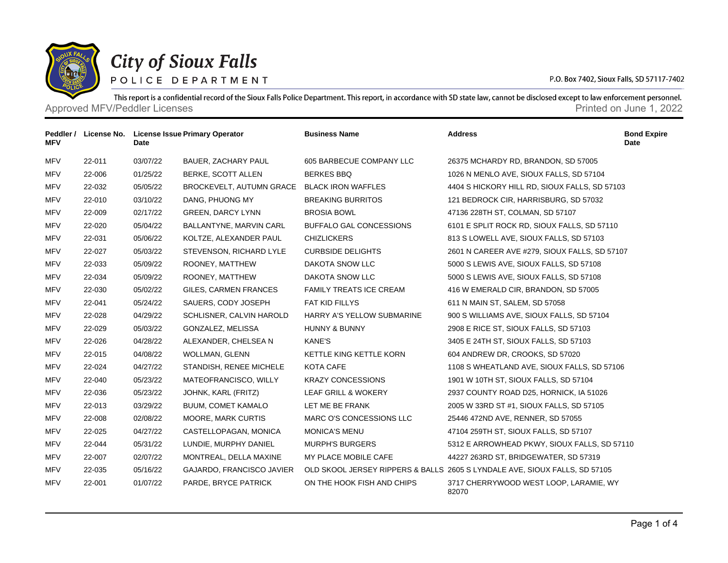

## **City of Sioux Falls**

POLICE DEPARTMENT

P.O. Box 7402, Sioux Falls, SD 57117-7402

This report is a confidential record of the Sioux Falls Police Department. This report, in accordance with SD state law, cannot be disclosed except to law enforcement personnel. Approved MFV/Peddler Licenses **Approved MFV/Peddler Licenses** Approved MFV/Peddler Licenses **Printed on June 1, 2022** 

| Peddler /<br><b>MFV</b> | License No. | Date     | <b>License Issue Primary Operator</b>       | <b>Business Name</b>           | <b>Address</b>                                                             | <b>Bond Expire</b><br>Date |
|-------------------------|-------------|----------|---------------------------------------------|--------------------------------|----------------------------------------------------------------------------|----------------------------|
| <b>MFV</b>              | 22-011      | 03/07/22 | <b>BAUER, ZACHARY PAUL</b>                  | 605 BARBECUE COMPANY LLC       | 26375 MCHARDY RD, BRANDON, SD 57005                                        |                            |
| <b>MFV</b>              | 22-006      | 01/25/22 | BERKE, SCOTT ALLEN                          | <b>BERKES BBQ</b>              | 1026 N MENLO AVE, SIOUX FALLS, SD 57104                                    |                            |
| <b>MFV</b>              | 22-032      | 05/05/22 | BROCKEVELT, AUTUMN GRACE BLACK IRON WAFFLES |                                | 4404 S HICKORY HILL RD, SIOUX FALLS, SD 57103                              |                            |
| <b>MFV</b>              | 22-010      | 03/10/22 | DANG, PHUONG MY                             | <b>BREAKING BURRITOS</b>       | 121 BEDROCK CIR, HARRISBURG, SD 57032                                      |                            |
| <b>MFV</b>              | 22-009      | 02/17/22 | GREEN, DARCY LYNN                           | <b>BROSIA BOWL</b>             | 47136 228TH ST, COLMAN, SD 57107                                           |                            |
| <b>MFV</b>              | 22-020      | 05/04/22 | BALLANTYNE, MARVIN CARL                     | BUFFALO GAL CONCESSIONS        | 6101 E SPLIT ROCK RD, SIOUX FALLS, SD 57110                                |                            |
| <b>MFV</b>              | 22-031      | 05/06/22 | KOLTZE, ALEXANDER PAUL                      | <b>CHIZLICKERS</b>             | 813 S LOWELL AVE, SIOUX FALLS, SD 57103                                    |                            |
| <b>MFV</b>              | 22-027      | 05/03/22 | STEVENSON, RICHARD LYLE                     | <b>CURBSIDE DELIGHTS</b>       | 2601 N CAREER AVE #279, SIOUX FALLS, SD 57107                              |                            |
| <b>MFV</b>              | 22-033      | 05/09/22 | ROONEY, MATTHEW                             | DAKOTA SNOW LLC                | 5000 S LEWIS AVE, SIOUX FALLS, SD 57108                                    |                            |
| <b>MFV</b>              | 22-034      | 05/09/22 | ROONEY, MATTHEW                             | DAKOTA SNOW LLC                | 5000 S LEWIS AVE, SIOUX FALLS, SD 57108                                    |                            |
| <b>MFV</b>              | 22-030      | 05/02/22 | GILES, CARMEN FRANCES                       | <b>FAMILY TREATS ICE CREAM</b> | 416 W EMERALD CIR, BRANDON, SD 57005                                       |                            |
| <b>MFV</b>              | 22-041      | 05/24/22 | SAUERS, CODY JOSEPH                         | FAT KID FILLYS                 | 611 N MAIN ST, SALEM, SD 57058                                             |                            |
| <b>MFV</b>              | 22-028      | 04/29/22 | SCHLISNER, CALVIN HAROLD                    | HARRY A'S YELLOW SUBMARINE     | 900 S WILLIAMS AVE, SIOUX FALLS, SD 57104                                  |                            |
| <b>MFV</b>              | 22-029      | 05/03/22 | GONZALEZ, MELISSA                           | HUNNY & BUNNY                  | 2908 E RICE ST, SIOUX FALLS, SD 57103                                      |                            |
| <b>MFV</b>              | 22-026      | 04/28/22 | ALEXANDER, CHELSEA N                        | <b>KANE'S</b>                  | 3405 E 24TH ST, SIOUX FALLS, SD 57103                                      |                            |
| <b>MFV</b>              | 22-015      | 04/08/22 | WOLLMAN, GLENN                              | KETTLE KING KETTLE KORN        | 604 ANDREW DR, CROOKS, SD 57020                                            |                            |
| <b>MFV</b>              | 22-024      | 04/27/22 | STANDISH, RENEE MICHELE                     | KOTA CAFE                      | 1108 S WHEATLAND AVE, SIOUX FALLS, SD 57106                                |                            |
| <b>MFV</b>              | 22-040      | 05/23/22 | MATEOFRANCISCO, WILLY                       | <b>KRAZY CONCESSIONS</b>       | 1901 W 10TH ST, SIOUX FALLS, SD 57104                                      |                            |
| MFV                     | 22-036      | 05/23/22 | JOHNK, KARL (FRITZ)                         | LEAF GRILL & WOKERY            | 2937 COUNTY ROAD D25, HORNICK, IA 51026                                    |                            |
| <b>MFV</b>              | 22-013      | 03/29/22 | <b>BUUM, COMET KAMALO</b>                   | LET ME BE FRANK                | 2005 W 33RD ST #1, SIOUX FALLS, SD 57105                                   |                            |
| <b>MFV</b>              | 22-008      | 02/08/22 | <b>MOORE, MARK CURTIS</b>                   | MARC O'S CONCESSIONS LLC       | 25446 472ND AVE, RENNER, SD 57055                                          |                            |
| <b>MFV</b>              | 22-025      | 04/27/22 | CASTELLOPAGAN, MONICA                       | <b>MONICA'S MENU</b>           | 47104 259TH ST, SIOUX FALLS, SD 57107                                      |                            |
| <b>MFV</b>              | 22-044      | 05/31/22 | LUNDIE, MURPHY DANIEL                       | <b>MURPH'S BURGERS</b>         | 5312 E ARROWHEAD PKWY, SIOUX FALLS, SD 57110                               |                            |
| <b>MFV</b>              | 22-007      | 02/07/22 | MONTREAL, DELLA MAXINE                      | MY PLACE MOBILE CAFE           | 44227 263RD ST, BRIDGEWATER, SD 57319                                      |                            |
| <b>MFV</b>              | 22-035      | 05/16/22 | GAJARDO, FRANCISCO JAVIER                   |                                | OLD SKOOL JERSEY RIPPERS & BALLS 2605 S LYNDALE AVE, SIOUX FALLS, SD 57105 |                            |
| <b>MFV</b>              | 22-001      | 01/07/22 | PARDE, BRYCE PATRICK                        | ON THE HOOK FISH AND CHIPS     | 3717 CHERRYWOOD WEST LOOP, LARAMIE, WY<br>82070                            |                            |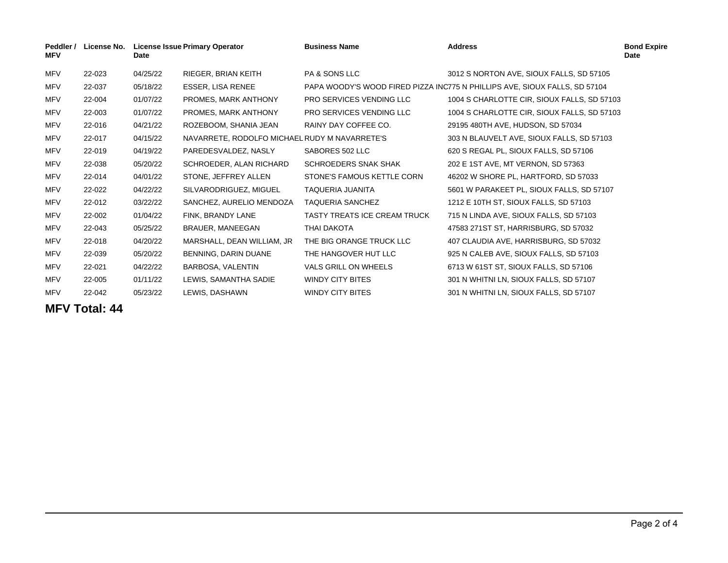| Peddler /<br><b>MFV</b> | <b>License No.</b> | Date     | License Issue Primary Operator                | <b>Business Name</b>            | <b>Address</b>                                                             | <b>Bond Expire</b><br>Date |
|-------------------------|--------------------|----------|-----------------------------------------------|---------------------------------|----------------------------------------------------------------------------|----------------------------|
| <b>MFV</b>              | 22-023             | 04/25/22 | RIEGER, BRIAN KEITH                           | <b>PA &amp; SONS LLC</b>        | 3012 S NORTON AVE, SIOUX FALLS, SD 57105                                   |                            |
| MFV                     | 22-037             | 05/18/22 | ESSER, LISA RENEE                             |                                 | PAPA WOODY'S WOOD FIRED PIZZA INC775 N PHILLIPS AVE, SIOUX FALLS, SD 57104 |                            |
| <b>MFV</b>              | 22-004             | 01/07/22 | PROMES, MARK ANTHONY                          | <b>PRO SERVICES VENDING LLC</b> | 1004 S CHARLOTTE CIR, SIOUX FALLS, SD 57103                                |                            |
| <b>MFV</b>              | 22-003             | 01/07/22 | PROMES, MARK ANTHONY                          | <b>PRO SERVICES VENDING LLC</b> | 1004 S CHARLOTTE CIR, SIOUX FALLS, SD 57103                                |                            |
| <b>MFV</b>              | 22-016             | 04/21/22 | ROZEBOOM, SHANIA JEAN                         | RAINY DAY COFFEE CO.            | 29195 480TH AVE, HUDSON, SD 57034                                          |                            |
| <b>MFV</b>              | 22-017             | 04/15/22 | NAVARRETE, RODOLFO MICHAEL RUDY M NAVARRETE'S |                                 | 303 N BLAUVELT AVE, SIOUX FALLS, SD 57103                                  |                            |
| <b>MFV</b>              | 22-019             | 04/19/22 | PAREDESVALDEZ, NASLY                          | SABORES 502 LLC                 | 620 S REGAL PL, SIOUX FALLS, SD 57106                                      |                            |
| <b>MFV</b>              | 22-038             | 05/20/22 | SCHROEDER, ALAN RICHARD                       | <b>SCHROEDERS SNAK SHAK</b>     | 202 E 1ST AVE, MT VERNON, SD 57363                                         |                            |
| <b>MFV</b>              | 22-014             | 04/01/22 | STONE, JEFFREY ALLEN                          | STONE'S FAMOUS KETTLE CORN      | 46202 W SHORE PL, HARTFORD, SD 57033                                       |                            |
| <b>MFV</b>              | 22-022             | 04/22/22 | SILVARODRIGUEZ, MIGUEL                        | TAQUERIA JUANITA                | 5601 W PARAKEET PL, SIOUX FALLS, SD 57107                                  |                            |
| <b>MFV</b>              | 22-012             | 03/22/22 | SANCHEZ, AURELIO MENDOZA                      | <b>TAQUERIA SANCHEZ</b>         | 1212 E 10TH ST, SIOUX FALLS, SD 57103                                      |                            |
| <b>MFV</b>              | 22-002             | 01/04/22 | FINK, BRANDY LANE                             | TASTY TREATS ICE CREAM TRUCK    | 715 N LINDA AVE, SIOUX FALLS, SD 57103                                     |                            |
| <b>MFV</b>              | 22-043             | 05/25/22 | BRAUER, MANEEGAN                              | THAI DAKOTA                     | 47583 271ST ST, HARRISBURG, SD 57032                                       |                            |
| MFV                     | 22-018             | 04/20/22 | MARSHALL, DEAN WILLIAM, JR                    | THE BIG ORANGE TRUCK LLC        | 407 CLAUDIA AVE, HARRISBURG, SD 57032                                      |                            |
| MFV                     | 22-039             | 05/20/22 | BENNING, DARIN DUANE                          | THE HANGOVER HUT LLC            | 925 N CALEB AVE, SIOUX FALLS, SD 57103                                     |                            |
| <b>MFV</b>              | 22-021             | 04/22/22 | BARBOSA, VALENTIN                             | VALS GRILL ON WHEELS            | 6713 W 61ST ST, SIOUX FALLS, SD 57106                                      |                            |
| <b>MFV</b>              | 22-005             | 01/11/22 | LEWIS, SAMANTHA SADIE                         | <b>WINDY CITY BITES</b>         | 301 N WHITNI LN, SIOUX FALLS, SD 57107                                     |                            |
| <b>MFV</b>              | 22-042             | 05/23/22 | LEWIS, DASHAWN                                | <b>WINDY CITY BITES</b>         | 301 N WHITNI LN, SIOUX FALLS, SD 57107                                     |                            |

**MFV Total: 44**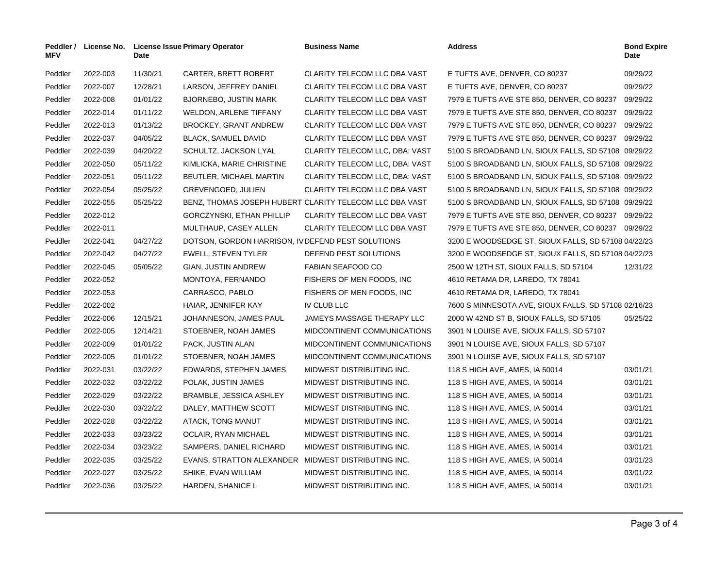| <b>MFV</b> | Peddler / License No. | Date     | <b>License Issue Primary Operator</b>               | <b>Business Name</b>                                    | <b>Address</b>                                       | <b>Bond Expire</b><br>Date |
|------------|-----------------------|----------|-----------------------------------------------------|---------------------------------------------------------|------------------------------------------------------|----------------------------|
| Peddler    | 2022-003              | 11/30/21 | CARTER, BRETT ROBERT                                | CLARITY TELECOM LLC DBA VAST                            | E TUFTS AVE, DENVER, CO 80237                        | 09/29/22                   |
| Peddler    | 2022-007              | 12/28/21 | LARSON, JEFFREY DANIEL                              | CLARITY TELECOM LLC DBA VAST                            | E TUFTS AVE, DENVER, CO 80237                        | 09/29/22                   |
| Peddler    | 2022-008              | 01/01/22 | <b>BJORNEBO, JUSTIN MARK</b>                        | <b>CLARITY TELECOM LLC DBA VAST</b>                     | 7979 E TUFTS AVE STE 850, DENVER, CO 80237           | 09/29/22                   |
| Peddler    | 2022-014              | 01/11/22 | WELDON, ARLENE TIFFANY                              | CLARITY TELECOM LLC DBA VAST                            | 7979 E TUFTS AVE STE 850, DENVER, CO 80237           | 09/29/22                   |
| Peddler    | 2022-013              | 01/13/22 | <b>BROCKEY, GRANT ANDREW</b>                        | CLARITY TELECOM LLC DBA VAST                            | 7979 E TUFTS AVE STE 850, DENVER, CO 80237           | 09/29/22                   |
| Peddler    | 2022-037              | 04/05/22 | <b>BLACK, SAMUEL DAVID</b>                          | CLARITY TELECOM LLC DBA VAST                            | 7979 E TUFTS AVE STE 850, DENVER, CO 80237           | 09/29/22                   |
| Peddler    | 2022-039              | 04/20/22 | SCHULTZ, JACKSON LYAL                               | <b>CLARITY TELECOM LLC, DBA: VAST</b>                   | 5100 S BROADBAND LN, SIOUX FALLS, SD 57108 09/29/22  |                            |
| Peddler    | 2022-050              | 05/11/22 | KIMLICKA, MARIE CHRISTINE                           | CLARITY TELECOM LLC, DBA: VAST                          | 5100 S BROADBAND LN, SIOUX FALLS, SD 57108 09/29/22  |                            |
| Peddler    | 2022-051              | 05/11/22 | BEUTLER, MICHAEL MARTIN                             | CLARITY TELECOM LLC, DBA: VAST                          | 5100 S BROADBAND LN, SIOUX FALLS, SD 57108 09/29/22  |                            |
| Peddler    | 2022-054              | 05/25/22 | GREVENGOED, JULIEN                                  | CLARITY TELECOM LLC DBA VAST                            | 5100 S BROADBAND LN, SIOUX FALLS, SD 57108 09/29/22  |                            |
| Peddler    | 2022-055              | 05/25/22 |                                                     | BENZ, THOMAS JOSEPH HUBERT CLARITY TELECOM LLC DBA VAST | 5100 S BROADBAND LN, SIOUX FALLS, SD 57108 09/29/22  |                            |
| Peddler    | 2022-012              |          | GORCZYNSKI, ETHAN PHILLIP                           | CLARITY TELECOM LLC DBA VAST                            | 7979 E TUFTS AVE STE 850, DENVER, CO 80237 09/29/22  |                            |
| Peddler    | 2022-011              |          | MULTHAUP, CASEY ALLEN                               | CLARITY TELECOM LLC DBA VAST                            | 7979 E TUFTS AVE STE 850, DENVER, CO 80237 09/29/22  |                            |
| Peddler    | 2022-041              | 04/27/22 | DOTSON, GORDON HARRISON, IV DEFEND PEST SOLUTIONS   |                                                         | 3200 E WOODSEDGE ST, SIOUX FALLS, SD 57108 04/22/23  |                            |
| Peddler    | 2022-042              | 04/27/22 | <b>EWELL, STEVEN TYLER</b>                          | DEFEND PEST SOLUTIONS                                   | 3200 E WOODSEDGE ST, SIOUX FALLS, SD 57108 04/22/23  |                            |
| Peddler    | 2022-045              | 05/05/22 | GIAN, JUSTIN ANDREW                                 | FABIAN SEAFOOD CO                                       | 2500 W 12TH ST, SIOUX FALLS, SD 57104                | 12/31/22                   |
| Peddler    | 2022-052              |          | MONTOYA, FERNANDO                                   | FISHERS OF MEN FOODS, INC.                              | 4610 RETAMA DR, LAREDO, TX 78041                     |                            |
| Peddler    | 2022-053              |          | CARRASCO, PABLO                                     | FISHERS OF MEN FOODS, INC.                              | 4610 RETAMA DR, LAREDO, TX 78041                     |                            |
| Peddler    | 2022-002              |          | HAIAR, JENNIFER KAY                                 | IV CLUB LLC                                             | 7600 S MINNESOTA AVE, SIOUX FALLS, SD 57108 02/16/23 |                            |
| Peddler    | 2022-006              | 12/15/21 | JOHANNESON, JAMES PAUL                              | JAMEYS MASSAGE THERAPY LLC                              | 2000 W 42ND ST B, SIOUX FALLS, SD 57105              | 05/25/22                   |
| Peddler    | 2022-005              | 12/14/21 | STOEBNER, NOAH JAMES                                | MIDCONTINENT COMMUNICATIONS                             | 3901 N LOUISE AVE, SIOUX FALLS, SD 57107             |                            |
| Peddler    | 2022-009              | 01/01/22 | PACK, JUSTIN ALAN                                   | MIDCONTINENT COMMUNICATIONS                             | 3901 N LOUISE AVE, SIOUX FALLS, SD 57107             |                            |
| Peddler    | 2022-005              | 01/01/22 | STOEBNER, NOAH JAMES                                | MIDCONTINENT COMMUNICATIONS                             | 3901 N LOUISE AVE, SIOUX FALLS, SD 57107             |                            |
| Peddler    | 2022-031              | 03/22/22 | EDWARDS, STEPHEN JAMES                              | MIDWEST DISTRIBUTING INC.                               | 118 S HIGH AVE, AMES, IA 50014                       | 03/01/21                   |
| Peddler    | 2022-032              | 03/22/22 | POLAK, JUSTIN JAMES                                 | MIDWEST DISTRIBUTING INC.                               | 118 S HIGH AVE, AMES, IA 50014                       | 03/01/21                   |
| Peddler    | 2022-029              | 03/22/22 | BRAMBLE, JESSICA ASHLEY                             | MIDWEST DISTRIBUTING INC.                               | 118 S HIGH AVE, AMES, IA 50014                       | 03/01/21                   |
| Peddler    | 2022-030              | 03/22/22 | DALEY, MATTHEW SCOTT                                | MIDWEST DISTRIBUTING INC.                               | 118 S HIGH AVE, AMES, IA 50014                       | 03/01/21                   |
| Peddler    | 2022-028              | 03/22/22 | ATACK, TONG MANUT                                   | MIDWEST DISTRIBUTING INC.                               | 118 S HIGH AVE, AMES, IA 50014                       | 03/01/21                   |
| Peddler    | 2022-033              | 03/23/22 | <b>OCLAIR, RYAN MICHAEL</b>                         | MIDWEST DISTRIBUTING INC.                               | 118 S HIGH AVE, AMES, IA 50014                       | 03/01/21                   |
| Peddler    | 2022-034              | 03/23/22 | SAMPERS, DANIEL RICHARD                             | MIDWEST DISTRIBUTING INC.                               | 118 S HIGH AVE, AMES, IA 50014                       | 03/01/21                   |
| Peddler    | 2022-035              | 03/25/22 | EVANS, STRATTON ALEXANDER MIDWEST DISTRIBUTING INC. |                                                         | 118 S HIGH AVE, AMES, IA 50014                       | 03/01/23                   |
| Peddler    | 2022-027              | 03/25/22 | SHIKE, EVAN WILLIAM                                 | MIDWEST DISTRIBUTING INC.                               | 118 S HIGH AVE, AMES, IA 50014                       | 03/01/22                   |
| Peddler    | 2022-036              | 03/25/22 | HARDEN, SHANICE L                                   | MIDWEST DISTRIBUTING INC.                               | 118 S HIGH AVE, AMES, IA 50014                       | 03/01/21                   |